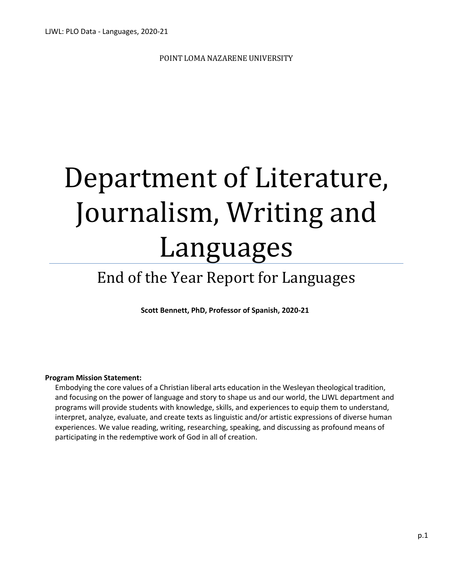POINT LOMA NAZARENE UNIVERSITY

# Department of Literature, Journalism, Writing and Languages

# End of the Year Report for Languages

**Scott Bennett, PhD, Professor of Spanish, 2020-21**

#### **Program Mission Statement:**

Embodying the core values of a Christian liberal arts education in the Wesleyan theological tradition, and focusing on the power of language and story to shape us and our world, the LJWL department and programs will provide students with knowledge, skills, and experiences to equip them to understand, interpret, analyze, evaluate, and create texts as linguistic and/or artistic expressions of diverse human experiences. We value reading, writing, researching, speaking, and discussing as profound means of participating in the redemptive work of God in all of creation.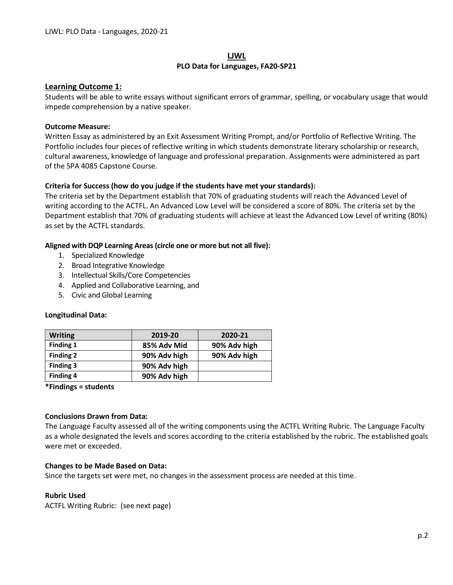#### **LJWL PLO Data for Languages, FA20-SP21**

#### **Learning Outcome 1:**

Students will be able to write essays without significant errors of grammar, spelling, or vocabulary usage that would impede comprehension by a native speaker.

#### **Outcome Measure:**

Written Essay as administered by an Exit Assessment Writing Prompt, and/or Portfolio of Reflective Writing. The Portfolio includes four pieces of reflective writing in which students demonstrate literary scholarship or research, cultural awareness, knowledge of language and professional preparation. Assignments were administered as part of the SPA 4085 Capstone Course.

#### **Criteria for Success (how do you judge if the students have met your standards):**

The criteria set by the Department establish that 70% of graduating students will reach the Advanced Level of writing according to the ACTFL. An Advanced Low Level will be considered a score of 80%. The criteria set by the Department establish that 70% of graduating students will achieve at least the Advanced Low Level of writing (80%) as set by the ACTFL standards.

#### **Aligned with DQP Learning Areas (circle one or more but not all five):**

- 1. Specialized Knowledge
- 2. Broad Integrative Knowledge
- 3. Intellectual Skills/Core Competencies
- 4. Applied and Collaborative Learning, and
- 5. Civic and Global Learning

#### **Longitudinal Data:**

| <b>Writing</b>   | 2019-20      | 2020-21      |
|------------------|--------------|--------------|
| Finding 1        | 85% Adv Mid  | 90% Adv high |
| <b>Finding 2</b> | 90% Adv high | 90% Adv high |
| Finding 3        | 90% Adv high |              |
| <b>Finding 4</b> | 90% Adv high |              |

**\*Findings = students**

#### **Conclusions Drawn from Data:**

The Language Faculty assessed all of the writing components using the ACTFL Writing Rubric. The Language Faculty as a whole designated the levels and scores according to the criteria established by the rubric. The established goals were met or exceeded.

#### **Changes to be Made Based on Data:**

Since the targets set were met, no changes in the assessment process are needed at this time.

#### **Rubric Used**

ACTFL Writing Rubric: (see next page)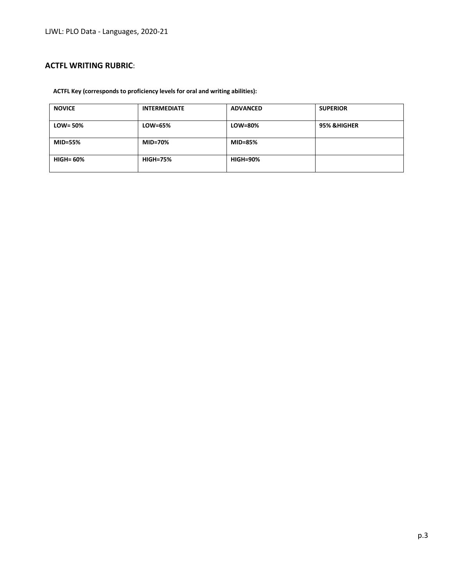# **ACTFL WRITING RUBRIC**:

#### **ACTFL Key (corresponds to proficiency levels for oral and writing abilities):**

| <b>NOVICE</b>    | <b>INTERMEDIATE</b> | <b>ADVANCED</b> | <b>SUPERIOR</b>        |
|------------------|---------------------|-----------------|------------------------|
| $LOW = 50\%$     | LOW=65%             | LOW=80%         | <b>95% &amp;HIGHER</b> |
| <b>MID=55%</b>   | MID=70%             | <b>MID=85%</b>  |                        |
| <b>HIGH= 60%</b> | <b>HIGH=75%</b>     | <b>HIGH=90%</b> |                        |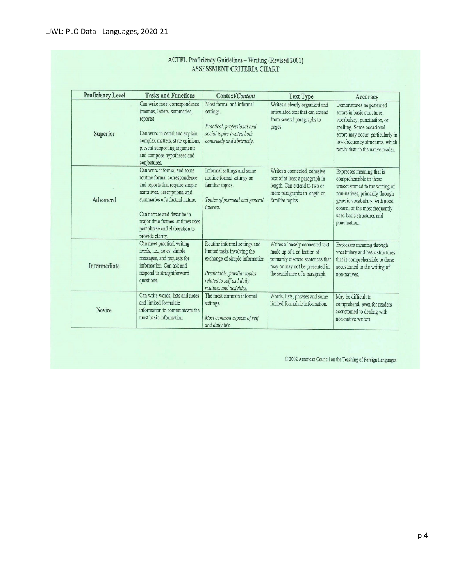| <b>Proficiency Level</b> | <b>Tasks and Functions</b>                                                                                                                                                                                                                                                                 | Context/Content                                                                                                                                                                         | <b>Text Type</b>                                                                                                                                                      | Accuracy                                                                                                                                                                                                                                 |
|--------------------------|--------------------------------------------------------------------------------------------------------------------------------------------------------------------------------------------------------------------------------------------------------------------------------------------|-----------------------------------------------------------------------------------------------------------------------------------------------------------------------------------------|-----------------------------------------------------------------------------------------------------------------------------------------------------------------------|------------------------------------------------------------------------------------------------------------------------------------------------------------------------------------------------------------------------------------------|
| Superior                 | Can write most correspondence<br>(memos, letters, summaries,<br>reports)<br>Can write in detail and explain<br>complex matters, state opinions,<br>present supporting arguments<br>and compose hypotheses and<br>conjectures.                                                              | Most formal and informal<br>settings.<br>Practical, professional and<br>social topics treated both<br>concretely and abstractly.                                                        | Writes a clearly organized and<br>articulated text that can extend<br>from several paragraphs to<br>pages.                                                            | Demonstrates no patterned<br>errors in basic structures,<br>vocabulary, punctuation, or<br>spelling. Some occasional<br>errors may occur, particularly in<br>low-frequency structures, which<br>rarely disturb the native reader.        |
| Advanced                 | Can write informal and some<br>routine formal correspondence<br>and reports that require simple<br>narratives, descriptions, and<br>summaries of a factual nature.<br>Can narrate and describe in<br>major time frames, at times uses<br>paraphrase and elaboration to<br>provide clarity. | Informal settings and some<br>routine formal settings on<br>familiar topics.<br>Topics of personal and general<br>interest.                                                             | Writes a connected, cohesive<br>text of at least a paragraph in<br>length. Can extend to two or<br>more paragraphs in length on<br>familiar topics.                   | Expresses meaning that is<br>comprehensible to those<br>unaccustomed to the writing of<br>non-natives, primarily through<br>generic vocabulary, with good<br>control of the most frequently<br>used basic structures and<br>punctuation. |
| Intermediate             | Can meet practical writing<br>needs, i.e., notes, simple<br>messages, and requests for<br>information. Can ask and<br>respond to straightforward<br>questions.                                                                                                                             | Routine informal settings and<br>limited tasks involving the<br>exchange of simple information<br>Predictable, familiar topics<br>related to self and daily<br>routines and activities. | Writes a loosely connected text<br>made up of a collection of<br>primarily discrete sentences that<br>may or may not be presented in<br>the semblance of a paragraph. | Expresses meaning through<br>vocabulary and basic structures<br>that is comprehensible to those<br>accustomed to the writing of<br>non-natives.                                                                                          |
| Novice                   | Can write words, lists and notes<br>and limited formulaic<br>information to communicate the<br>most basic information                                                                                                                                                                      | The most common informal<br>settings.<br>Most common aspects of self<br>and daily life.                                                                                                 | Words, lists, phrases and some<br>limited formulaic information.                                                                                                      | May be difficult to<br>comprehend, even for readers<br>accustomed to dealing with<br>non-native writers.                                                                                                                                 |

# **ACTFL Proficiency Guidelines - Writing (Revised 2001)**

 $\odot$  2002 American Council on the Teaching of Foreign Languages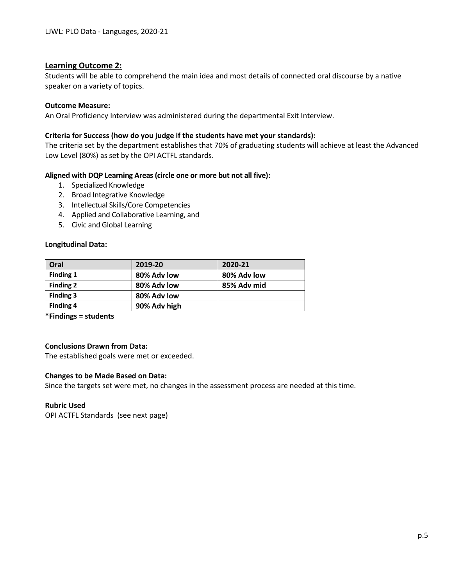# **Learning Outcome 2:**

Students will be able to comprehend the main idea and most details of connected oral discourse by a native speaker on a variety of topics.

#### **Outcome Measure:**

An Oral Proficiency Interview was administered during the departmental Exit Interview.

# **Criteria for Success (how do you judge if the students have met your standards):**

The criteria set by the department establishes that 70% of graduating students will achieve at least the Advanced Low Level (80%) as set by the OPI ACTFL standards.

# **Aligned with DQP Learning Areas (circle one or more but not all five):**

- 1. Specialized Knowledge
- 2. Broad Integrative Knowledge
- 3. Intellectual Skills/Core Competencies
- 4. Applied and Collaborative Learning, and
- 5. Civic and Global Learning

#### **Longitudinal Data:**

| Oral             | 2019-20      | 2020-21     |
|------------------|--------------|-------------|
| Finding 1        | 80% Adv low  | 80% Adv low |
| <b>Finding 2</b> | 80% Adv low  | 85% Adv mid |
| Finding 3        | 80% Adv low  |             |
| <b>Finding 4</b> | 90% Adv high |             |

**\*Findings = students**

# **Conclusions Drawn from Data:**

The established goals were met or exceeded.

#### **Changes to be Made Based on Data:**

Since the targets set were met, no changes in the assessment process are needed at this time.

#### **Rubric Used**

OPI ACTFL Standards (see next page)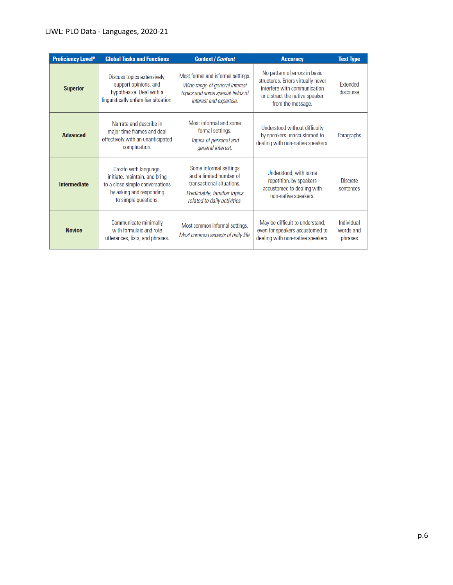# LJWL: PLO Data - Languages, 2020-21

| <b>Proficiency Level*</b> | <b>Global Tasks and Functions</b>                                                                                                             | <b>Context / Content</b>                                                                                                                       | <b>Accuracy</b>                                                                                                                                            | <b>Text Type</b>                   |
|---------------------------|-----------------------------------------------------------------------------------------------------------------------------------------------|------------------------------------------------------------------------------------------------------------------------------------------------|------------------------------------------------------------------------------------------------------------------------------------------------------------|------------------------------------|
| <b>Superior</b>           | Discuss topics extensively,<br>support opinions, and<br>hypothesize. Deal with a<br>linguistically unfamiliar situation.                      | Most formal and informal settings.<br>Wide range of general interest<br>topics and some special fields of<br>interest and expertise.           | No pattern of errors in basic<br>structures. Errors virtually never<br>interfere with communication<br>or distract the native speaker<br>from the message. | <b>Extended</b><br>discourse       |
| <b>Advanced</b>           | Narrate and describe in<br>major time frames and deal<br>effectively with an unanticipated<br>complication.                                   | Most informal and some<br>formal settings.<br>Topics of personal and<br>general interest.                                                      | Understood without difficulty<br>by speakers unaccustomed to<br>dealing with non-native speakers.                                                          | Paragraphs                         |
| <b>Intermediate</b>       | Create with language,<br>initiate, maintain, and bring<br>to a close simple conversations<br>by asking and responding<br>to simple questions. | Some informal settings<br>and a limited number of<br>transactional situations.<br>Predictable, familiar topics<br>related to daily activities. | Understood, with some<br>repetition, by speakers<br>accustomed to dealing with<br>non-native speakers.                                                     | <b>Discrete</b><br>sentences       |
| <b>Novice</b>             | Communicate minimally<br>with formulaic and rote<br>utterances, lists, and phrases.                                                           | Most common informal settings.<br>Most common aspects of daily life.                                                                           | May be difficult to understand,<br>even for speakers accustomed to<br>dealing with non-native speakers.                                                    | Individual<br>words and<br>phrases |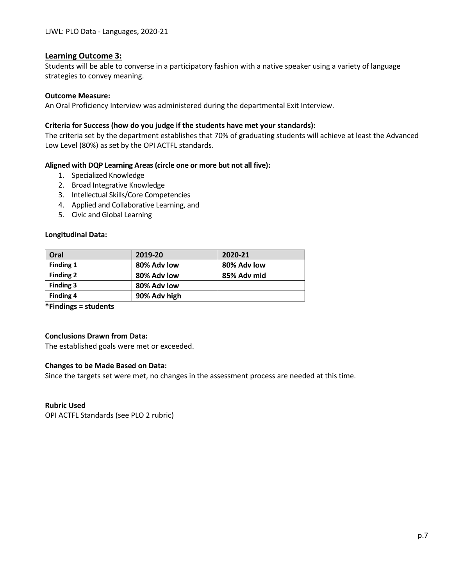#### **Learning Outcome 3:**

Students will be able to converse in a participatory fashion with a native speaker using a variety of language strategies to convey meaning.

#### **Outcome Measure:**

An Oral Proficiency Interview was administered during the departmental Exit Interview.

#### **Criteria for Success (how do you judge if the students have met your standards):**

The criteria set by the department establishes that 70% of graduating students will achieve at least the Advanced Low Level (80%) as set by the OPI ACTFL standards.

#### **Aligned with DQP Learning Areas (circle one or more but not all five):**

- 1. Specialized Knowledge
- 2. Broad Integrative Knowledge
- 3. Intellectual Skills/Core Competencies
- 4. Applied and Collaborative Learning, and
- 5. Civic and Global Learning

#### **Longitudinal Data:**

| Oral             | 2019-20      | 2020-21     |
|------------------|--------------|-------------|
| Finding 1        | 80% Adv low  | 80% Adv low |
| <b>Finding 2</b> | 80% Adv low  | 85% Adv mid |
| Finding 3        | 80% Adv low  |             |
| <b>Finding 4</b> | 90% Adv high |             |

**\*Findings = students**

#### **Conclusions Drawn from Data:**

The established goals were met or exceeded.

#### **Changes to be Made Based on Data:**

Since the targets set were met, no changes in the assessment process are needed at this time.

#### **Rubric Used**

OPI ACTFL Standards (see PLO 2 rubric)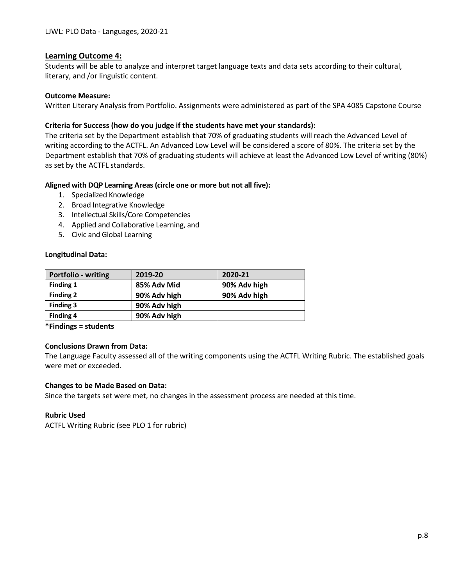#### **Learning Outcome 4:**

Students will be able to analyze and interpret target language texts and data sets according to their cultural, literary, and /or linguistic content.

#### **Outcome Measure:**

Written Literary Analysis from Portfolio. Assignments were administered as part of the SPA 4085 Capstone Course

#### **Criteria for Success (how do you judge if the students have met your standards):**

The criteria set by the Department establish that 70% of graduating students will reach the Advanced Level of writing according to the ACTFL. An Advanced Low Level will be considered a score of 80%. The criteria set by the Department establish that 70% of graduating students will achieve at least the Advanced Low Level of writing (80%) as set by the ACTFL standards.

# **Aligned with DQP Learning Areas (circle one or more but not all five):**

- 1. Specialized Knowledge
- 2. Broad Integrative Knowledge
- 3. Intellectual Skills/Core Competencies
- 4. Applied and Collaborative Learning, and
- 5. Civic and Global Learning

#### **Longitudinal Data:**

| Portfolio - writing | 2019-20      | 2020-21      |
|---------------------|--------------|--------------|
| Finding 1           | 85% Adv Mid  | 90% Adv high |
| <b>Finding 2</b>    | 90% Adv high | 90% Adv high |
| Finding 3           | 90% Adv high |              |
| Finding 4           | 90% Adv high |              |

**\*Findings = students**

#### **Conclusions Drawn from Data:**

The Language Faculty assessed all of the writing components using the ACTFL Writing Rubric. The established goals were met or exceeded.

#### **Changes to be Made Based on Data:**

Since the targets set were met, no changes in the assessment process are needed at this time.

#### **Rubric Used**

ACTFL Writing Rubric (see PLO 1 for rubric)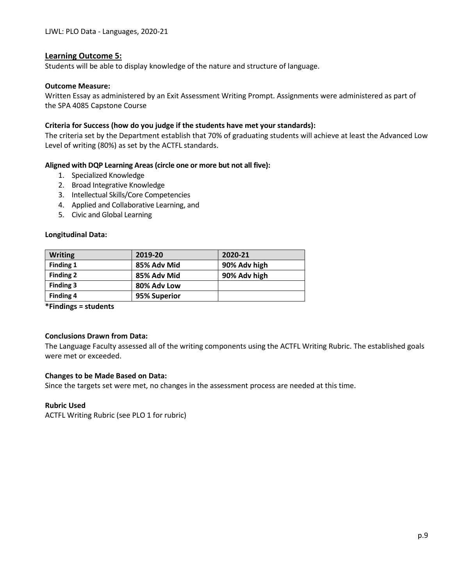#### **Learning Outcome 5:**

Students will be able to display knowledge of the nature and structure of language.

#### **Outcome Measure:**

Written Essay as administered by an Exit Assessment Writing Prompt. Assignments were administered as part of the SPA 4085 Capstone Course

#### **Criteria for Success (how do you judge if the students have met your standards):**

The criteria set by the Department establish that 70% of graduating students will achieve at least the Advanced Low Level of writing (80%) as set by the ACTFL standards.

#### **Aligned with DQP Learning Areas (circle one or more but not all five):**

- 1. Specialized Knowledge
- 2. Broad Integrative Knowledge
- 3. Intellectual Skills/Core Competencies
- 4. Applied and Collaborative Learning, and
- 5. Civic and Global Learning

#### **Longitudinal Data:**

| <b>Writing</b>   | 2019-20      | 2020-21      |
|------------------|--------------|--------------|
| Finding 1        | 85% Adv Mid  | 90% Adv high |
| <b>Finding 2</b> | 85% Adv Mid  | 90% Adv high |
| Finding 3        | 80% Adv Low  |              |
| <b>Finding 4</b> | 95% Superior |              |

**\*Findings = students**

#### **Conclusions Drawn from Data:**

The Language Faculty assessed all of the writing components using the ACTFL Writing Rubric. The established goals were met or exceeded.

#### **Changes to be Made Based on Data:**

Since the targets set were met, no changes in the assessment process are needed at this time.

#### **Rubric Used**

ACTFL Writing Rubric (see PLO 1 for rubric)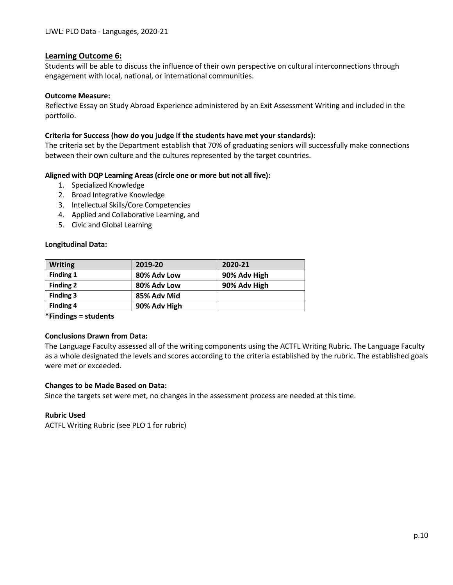#### **Learning Outcome 6:**

Students will be able to discuss the influence of their own perspective on cultural interconnections through engagement with local, national, or international communities.

#### **Outcome Measure:**

Reflective Essay on Study Abroad Experience administered by an Exit Assessment Writing and included in the portfolio.

#### **Criteria for Success (how do you judge if the students have met your standards):**

The criteria set by the Department establish that 70% of graduating seniors will successfully make connections between their own culture and the cultures represented by the target countries.

#### **Aligned with DQP Learning Areas (circle one or more but not all five):**

- 1. Specialized Knowledge
- 2. Broad Integrative Knowledge
- 3. Intellectual Skills/Core Competencies
- 4. Applied and Collaborative Learning, and
- 5. Civic and Global Learning

#### **Longitudinal Data:**

| <b>Writing</b>   | 2019-20      | 2020-21      |
|------------------|--------------|--------------|
| Finding 1        | 80% Adv Low  | 90% Adv High |
| <b>Finding 2</b> | 80% Adv Low  | 90% Adv High |
| Finding 3        | 85% Adv Mid  |              |
| <b>Finding 4</b> | 90% Adv High |              |

**\*Findings = students**

#### **Conclusions Drawn from Data:**

The Language Faculty assessed all of the writing components using the ACTFL Writing Rubric. The Language Faculty as a whole designated the levels and scores according to the criteria established by the rubric. The established goals were met or exceeded.

#### **Changes to be Made Based on Data:**

Since the targets set were met, no changes in the assessment process are needed at this time.

#### **Rubric Used**

ACTFL Writing Rubric (see PLO 1 for rubric)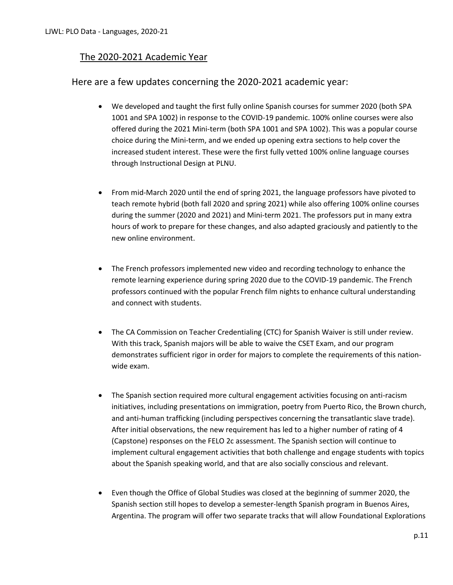# The 2020-2021 Academic Year

# Here are a few updates concerning the 2020-2021 academic year:

- We developed and taught the first fully online Spanish courses for summer 2020 (both SPA 1001 and SPA 1002) in response to the COVID-19 pandemic. 100% online courses were also offered during the 2021 Mini-term (both SPA 1001 and SPA 1002). This was a popular course choice during the Mini-term, and we ended up opening extra sections to help cover the increased student interest. These were the first fully vetted 100% online language courses through Instructional Design at PLNU.
- From mid-March 2020 until the end of spring 2021, the language professors have pivoted to teach remote hybrid (both fall 2020 and spring 2021) while also offering 100% online courses during the summer (2020 and 2021) and Mini-term 2021. The professors put in many extra hours of work to prepare for these changes, and also adapted graciously and patiently to the new online environment.
- The French professors implemented new video and recording technology to enhance the remote learning experience during spring 2020 due to the COVID-19 pandemic. The French professors continued with the popular French film nights to enhance cultural understanding and connect with students.
- The CA Commission on Teacher Credentialing (CTC) for Spanish Waiver is still under review. With this track, Spanish majors will be able to waive the CSET Exam, and our program demonstrates sufficient rigor in order for majors to complete the requirements of this nationwide exam.
- The Spanish section required more cultural engagement activities focusing on anti-racism initiatives, including presentations on immigration, poetry from Puerto Rico, the Brown church, and anti-human trafficking (including perspectives concerning the transatlantic slave trade). After initial observations, the new requirement has led to a higher number of rating of 4 (Capstone) responses on the FELO 2c assessment. The Spanish section will continue to implement cultural engagement activities that both challenge and engage students with topics about the Spanish speaking world, and that are also socially conscious and relevant.
- Even though the Office of Global Studies was closed at the beginning of summer 2020, the Spanish section still hopes to develop a semester-length Spanish program in Buenos Aires, Argentina. The program will offer two separate tracks that will allow Foundational Explorations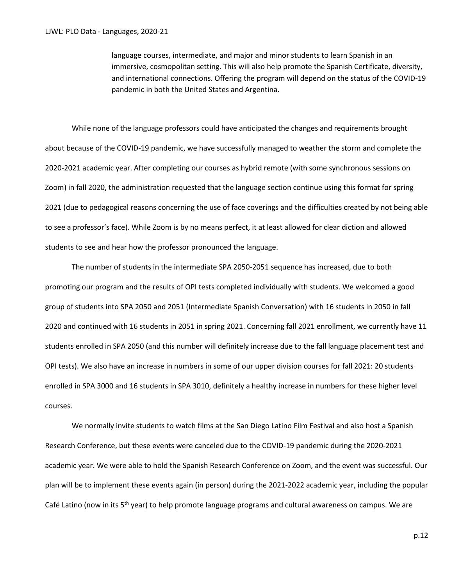language courses, intermediate, and major and minor students to learn Spanish in an immersive, cosmopolitan setting. This will also help promote the Spanish Certificate, diversity, and international connections. Offering the program will depend on the status of the COVID-19 pandemic in both the United States and Argentina.

While none of the language professors could have anticipated the changes and requirements brought about because of the COVID-19 pandemic, we have successfully managed to weather the storm and complete the 2020-2021 academic year. After completing our courses as hybrid remote (with some synchronous sessions on Zoom) in fall 2020, the administration requested that the language section continue using this format for spring 2021 (due to pedagogical reasons concerning the use of face coverings and the difficulties created by not being able to see a professor's face). While Zoom is by no means perfect, it at least allowed for clear diction and allowed students to see and hear how the professor pronounced the language.

The number of students in the intermediate SPA 2050-2051 sequence has increased, due to both promoting our program and the results of OPI tests completed individually with students. We welcomed a good group of students into SPA 2050 and 2051 (Intermediate Spanish Conversation) with 16 students in 2050 in fall 2020 and continued with 16 students in 2051 in spring 2021. Concerning fall 2021 enrollment, we currently have 11 students enrolled in SPA 2050 (and this number will definitely increase due to the fall language placement test and OPI tests). We also have an increase in numbers in some of our upper division courses for fall 2021: 20 students enrolled in SPA 3000 and 16 students in SPA 3010, definitely a healthy increase in numbers for these higher level courses.

We normally invite students to watch films at the San Diego Latino Film Festival and also host a Spanish Research Conference, but these events were canceled due to the COVID-19 pandemic during the 2020-2021 academic year. We were able to hold the Spanish Research Conference on Zoom, and the event was successful. Our plan will be to implement these events again (in person) during the 2021-2022 academic year, including the popular Café Latino (now in its  $5<sup>th</sup>$  year) to help promote language programs and cultural awareness on campus. We are

p.12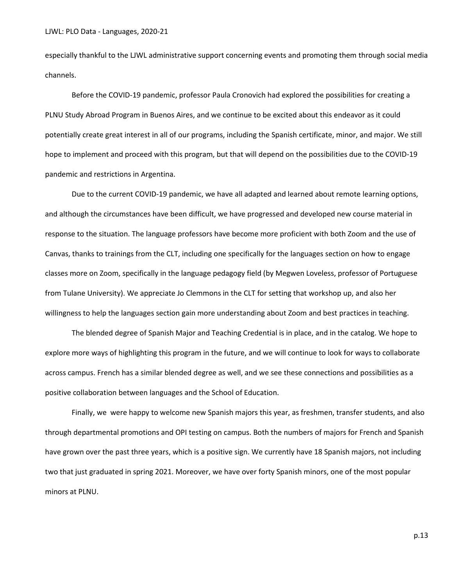especially thankful to the LJWL administrative support concerning events and promoting them through social media channels.

Before the COVID-19 pandemic, professor Paula Cronovich had explored the possibilities for creating a PLNU Study Abroad Program in Buenos Aires, and we continue to be excited about this endeavor as it could potentially create great interest in all of our programs, including the Spanish certificate, minor, and major. We still hope to implement and proceed with this program, but that will depend on the possibilities due to the COVID-19 pandemic and restrictions in Argentina.

Due to the current COVID-19 pandemic, we have all adapted and learned about remote learning options, and although the circumstances have been difficult, we have progressed and developed new course material in response to the situation. The language professors have become more proficient with both Zoom and the use of Canvas, thanks to trainings from the CLT, including one specifically for the languages section on how to engage classes more on Zoom, specifically in the language pedagogy field (by Megwen Loveless, professor of Portuguese from Tulane University). We appreciate Jo Clemmons in the CLT for setting that workshop up, and also her willingness to help the languages section gain more understanding about Zoom and best practices in teaching.

The blended degree of Spanish Major and Teaching Credential is in place, and in the catalog. We hope to explore more ways of highlighting this program in the future, and we will continue to look for ways to collaborate across campus. French has a similar blended degree as well, and we see these connections and possibilities as a positive collaboration between languages and the School of Education.

Finally, we were happy to welcome new Spanish majors this year, as freshmen, transfer students, and also through departmental promotions and OPI testing on campus. Both the numbers of majors for French and Spanish have grown over the past three years, which is a positive sign. We currently have 18 Spanish majors, not including two that just graduated in spring 2021. Moreover, we have over forty Spanish minors, one of the most popular minors at PLNU.